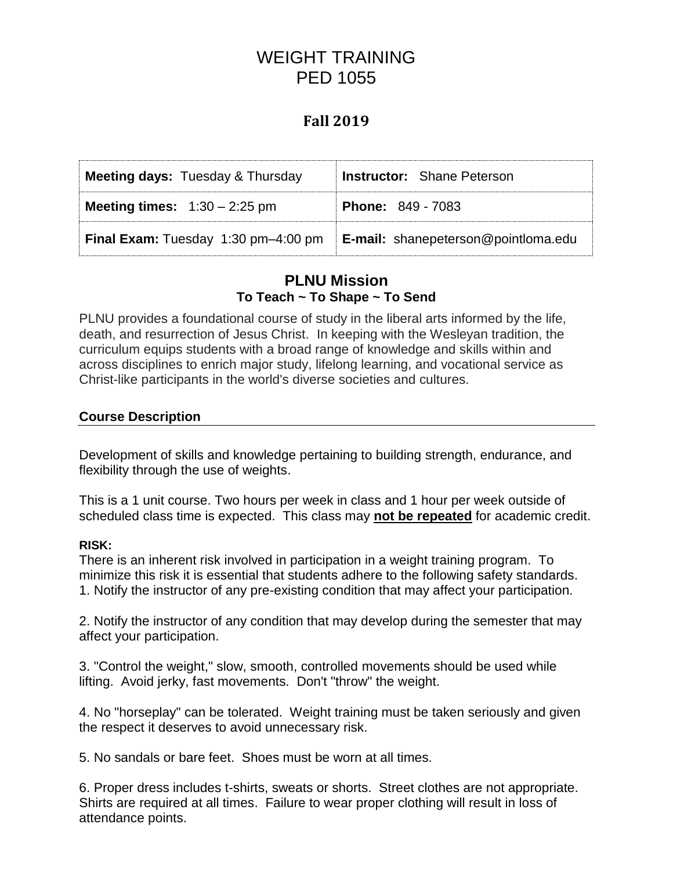# WEIGHT TRAINING PED 1055

# **Fall 2019**

| <b>Meeting days: Tuesday &amp; Thursday</b> | <b>Instructor:</b> Shane Peterson          |  |
|---------------------------------------------|--------------------------------------------|--|
| <b>Meeting times:</b> $1:30 - 2:25$ pm      | <b>Phone: 849 - 7083</b>                   |  |
| <b>Final Exam:</b> Tuesday 1:30 pm-4:00 pm  | <b>E-mail:</b> shanepeterson@pointloma.edu |  |

# **PLNU Mission To Teach ~ To Shape ~ To Send**

PLNU provides a foundational course of study in the liberal arts informed by the life, death, and resurrection of Jesus Christ. In keeping with the Wesleyan tradition, the curriculum equips students with a broad range of knowledge and skills within and across disciplines to enrich major study, lifelong learning, and vocational service as Christ-like participants in the world's diverse societies and cultures.

#### **Course Description**

Development of skills and knowledge pertaining to building strength, endurance, and flexibility through the use of weights.

This is a 1 unit course. Two hours per week in class and 1 hour per week outside of scheduled class time is expected. This class may **not be repeated** for academic credit.

#### **RISK:**

There is an inherent risk involved in participation in a weight training program. To minimize this risk it is essential that students adhere to the following safety standards. 1. Notify the instructor of any pre-existing condition that may affect your participation.

2. Notify the instructor of any condition that may develop during the semester that may affect your participation.

3. "Control the weight," slow, smooth, controlled movements should be used while lifting. Avoid jerky, fast movements. Don't "throw" the weight.

4. No "horseplay" can be tolerated. Weight training must be taken seriously and given the respect it deserves to avoid unnecessary risk.

5. No sandals or bare feet. Shoes must be worn at all times.

6. Proper dress includes t-shirts, sweats or shorts. Street clothes are not appropriate. Shirts are required at all times. Failure to wear proper clothing will result in loss of attendance points.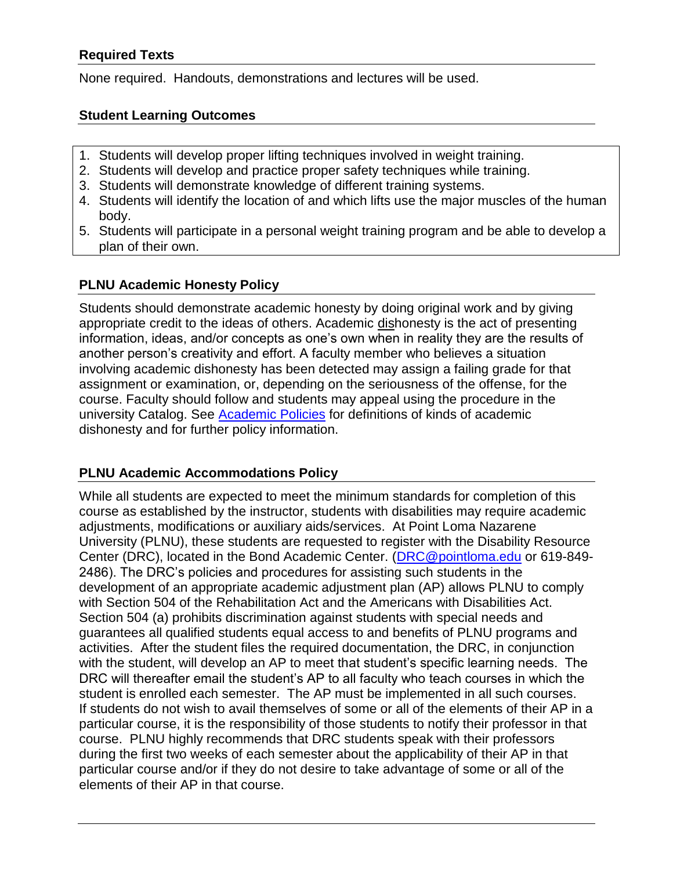#### **Required Texts**

None required. Handouts, demonstrations and lectures will be used.

#### **Student Learning Outcomes**

- 1. Students will develop proper lifting techniques involved in weight training.
- 2. Students will develop and practice proper safety techniques while training.
- 3. Students will demonstrate knowledge of different training systems.
- 4. Students will identify the location of and which lifts use the major muscles of the human body.
- 5. Students will participate in a personal weight training program and be able to develop a plan of their own.

#### **PLNU Academic Honesty Policy**

Students should demonstrate academic honesty by doing original work and by giving appropriate credit to the ideas of others. Academic dishonesty is the act of presenting information, ideas, and/or concepts as one's own when in reality they are the results of another person's creativity and effort. A faculty member who believes a situation involving academic dishonesty has been detected may assign a failing grade for that assignment or examination, or, depending on the seriousness of the offense, for the course. Faculty should follow and students may appeal using the procedure in the university Catalog. See [Academic Policies](http://catalog.pointloma.edu/content.php?catoid=41&navoid=2435) for definitions of kinds of academic dishonesty and for further policy information.

#### **PLNU Academic Accommodations Policy**

While all students are expected to meet the minimum standards for completion of this course as established by the instructor, students with disabilities may require academic adjustments, modifications or auxiliary aids/services. At Point Loma Nazarene University (PLNU), these students are requested to register with the Disability Resource Center (DRC), located in the Bond Academic Center. [\(DRC@pointloma.edu](mailto:DRC@pointloma.edu) or 619-849- 2486). The DRC's policies and procedures for assisting such students in the development of an appropriate academic adjustment plan (AP) allows PLNU to comply with Section 504 of the Rehabilitation Act and the Americans with Disabilities Act. Section 504 (a) prohibits discrimination against students with special needs and guarantees all qualified students equal access to and benefits of PLNU programs and activities. After the student files the required documentation, the DRC, in conjunction with the student, will develop an AP to meet that student's specific learning needs. The DRC will thereafter email the student's AP to all faculty who teach courses in which the student is enrolled each semester. The AP must be implemented in all such courses. If students do not wish to avail themselves of some or all of the elements of their AP in a particular course, it is the responsibility of those students to notify their professor in that course. PLNU highly recommends that DRC students speak with their professors during the first two weeks of each semester about the applicability of their AP in that particular course and/or if they do not desire to take advantage of some or all of the elements of their AP in that course.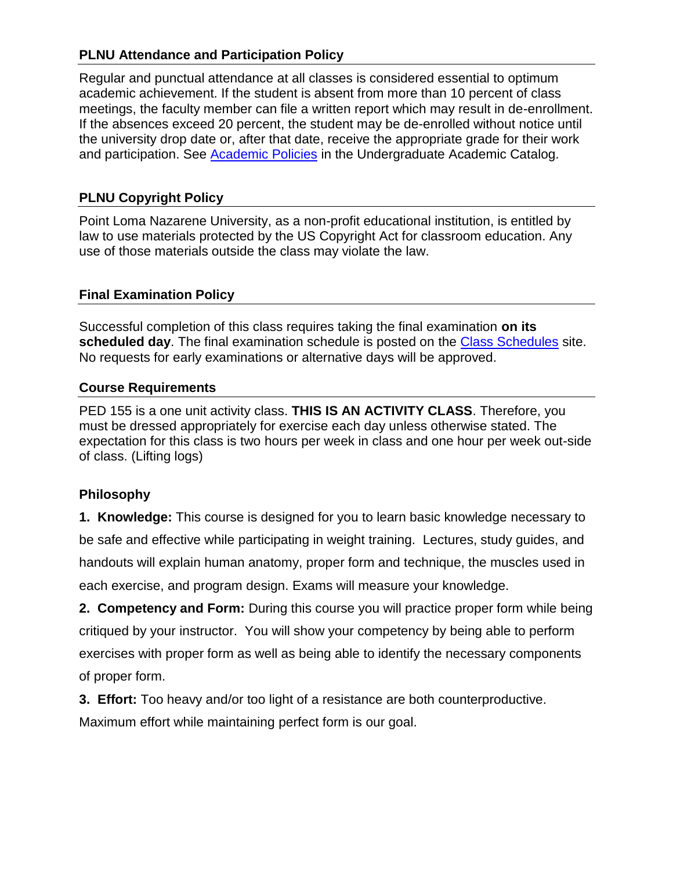### **PLNU Attendance and Participation Policy**

Regular and punctual attendance at all classes is considered essential to optimum academic achievement. If the student is absent from more than 10 percent of class meetings, the faculty member can file a written report which may result in de-enrollment. If the absences exceed 20 percent, the student may be de-enrolled without notice until the university drop date or, after that date, receive the appropriate grade for their work and participation. See [Academic Policies](http://catalog.pointloma.edu/content.php?catoid=41&navoid=2435) in the Undergraduate Academic Catalog.

## **PLNU Copyright Policy**

Point Loma Nazarene University, as a non-profit educational institution, is entitled by law to use materials protected by the US Copyright Act for classroom education. Any use of those materials outside the class may violate the law.

### **Final Examination Policy**

Successful completion of this class requires taking the final examination **on its scheduled day**. The final examination schedule is posted on the [Class Schedules](http://www.pointloma.edu/experience/academics/class-schedules) site. No requests for early examinations or alternative days will be approved.

### **Course Requirements**

PED 155 is a one unit activity class. **THIS IS AN ACTIVITY CLASS**. Therefore, you must be dressed appropriately for exercise each day unless otherwise stated. The expectation for this class is two hours per week in class and one hour per week out-side of class. (Lifting logs)

# **Philosophy**

**1. Knowledge:** This course is designed for you to learn basic knowledge necessary to be safe and effective while participating in weight training. Lectures, study guides, and handouts will explain human anatomy, proper form and technique, the muscles used in each exercise, and program design. Exams will measure your knowledge.

**2. Competency and Form:** During this course you will practice proper form while being critiqued by your instructor. You will show your competency by being able to perform exercises with proper form as well as being able to identify the necessary components of proper form.

**3. Effort:** Too heavy and/or too light of a resistance are both counterproductive.

Maximum effort while maintaining perfect form is our goal.